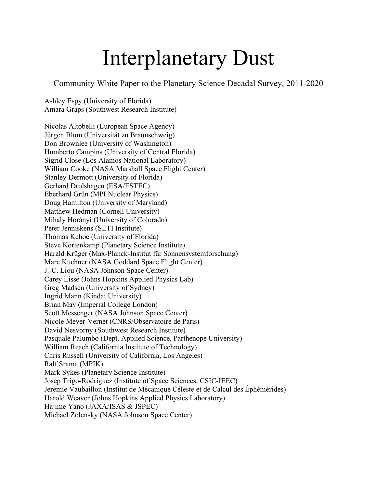# Interplanetary Dust

Community White Paper to the Planetary Science Decadal Survey, 2011-2020

Ashley Espy (University of Florida) Amara Graps (Southwest Research Institute)

Nicolas Altobelli (European Space Agency) Jürgen Blum (Universität zu Braunschweig) Don Brownlee (University of Washington) Humberto Campins (University of Central Florida) Sigrid Close (Los Alamos National Laboratory) William Cooke (NASA Marshall Space Flight Center) Stanley Dermott (University of Florida) Gerhard Drolshagen (ESA/ESTEC) Eberhard Grün (MPI Nuclear Physics) Doug Hamilton (University of Maryland) Matthew Hedman (Cornell University) Mihaly Horányi (University of Colorado) Peter Jenniskens (SETI Institute) Thomas Kehoe (University of Florida) Steve Kortenkamp (Planetary Science Institute) Harald Krüger (Max-Planck-Institut für Sonnensystemforschung) Marc Kuchner (NASA Goddard Space Flight Center) J.-C. Liou (NASA Johnson Space Center) Carey Lisse (Johns Hopkins Applied Physics Lab) Greg Madsen (University of Sydney) Ingrid Mann (Kindai University) Brian May (Imperial College London) Scott Messenger (NASA Johnson Space Center) Nicole Meyer-Vernet (CNRS/Observatoire de Paris) David Nesvorny (Southwest Research Institute) Pasquale Palumbo (Dept. Applied Science, Parthenope University) William Reach (California Institute of Technology) Chris Russell (University of California, Los Angeles) Ralf Srama (MPIK) Mark Sykes (Planetary Science Institute) Josep Trigo-Rodríguez (Institute of Space Sciences, CSIC-IEEC) Jeremie Vaubaillon (Institut de Mécanique Céleste et de Calcul des Éphémérides) Harold Weaver (Johns Hopkins Applied Physics Laboratory) Hajime Yano (JAXA/ISAS & JSPEC) Michael Zolensky (NASA Johnson Space Center)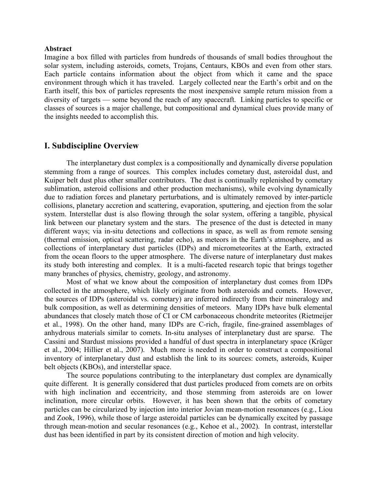#### **Abstract**

Imagine a box filled with particles from hundreds of thousands of small bodies throughout the solar system, including asteroids, comets, Trojans, Centaurs, KBOs and even from other stars. Each particle contains information about the object from which it came and the space environment through which it has traveled. Largely collected near the Earth's orbit and on the Earth itself, this box of particles represents the most inexpensive sample return mission from a diversity of targets — some beyond the reach of any spacecraft. Linking particles to specific or classes of sources is a major challenge, but compositional and dynamical clues provide many of the insights needed to accomplish this.

#### **I. Subdiscipline Overview**

The interplanetary dust complex is a compositionally and dynamically diverse population stemming from a range of sources. This complex includes cometary dust, asteroidal dust, and Kuiper belt dust plus other smaller contributors. The dust is continually replenished by cometary sublimation, asteroid collisions and other production mechanisms), while evolving dynamically due to radiation forces and planetary perturbations, and is ultimately removed by inter-particle collisions, planetary accretion and scattering, evaporation, sputtering, and ejection from the solar system. Interstellar dust is also flowing through the solar system, offering a tangible, physical link between our planetary system and the stars. The presence of the dust is detected in many different ways; via in-situ detections and collections in space, as well as from remote sensing (thermal emission, optical scattering, radar echo), as meteors in the Earth's atmosphere, and as collections of interplanetary dust particles (IDPs) and micrometeorites at the Earth, extracted from the ocean floors to the upper atmosphere. The diverse nature of interplanetary dust makes its study both interesting and complex. It is a multi-faceted research topic that brings together many branches of physics, chemistry, geology, and astronomy.

Most of what we know about the composition of interplanetary dust comes from IDPs collected in the atmosphere, which likely originate from both asteroids and comets. However, the sources of IDPs (asteroidal vs. cometary) are inferred indirectly from their mineralogy and bulk composition, as well as determining densities of meteors. Many IDPs have bulk elemental abundances that closely match those of CI or CM carbonaceous chondrite meteorites (Rietmeijer et al., 1998). On the other hand, many IDPs are C-rich, fragile, fine-grained assemblages of anhydrous materials similar to comets. In-situ analyses of interplanetary dust are sparse. The Cassini and Stardust missions provided a handful of dust spectra in interplanetary space (Krüger et al., 2004; Hillier et al., 2007). Much more is needed in order to construct a compositional inventory of interplanetary dust and establish the link to its sources: comets, asteroids, Kuiper belt objects (KBOs), and interstellar space.

The source populations contributing to the interplanetary dust complex are dynamically quite different. It is generally considered that dust particles produced from comets are on orbits with high inclination and eccentricity, and those stemming from asteroids are on lower inclination, more circular orbits. However, it has been shown that the orbits of cometary particles can be circularized by injection into interior Jovian mean-motion resonances (e.g., Liou and Zook, 1996), while those of large asteroidal particles can be dynamically excited by passage through mean-motion and secular resonances (e.g., Kehoe et al., 2002). In contrast, interstellar dust has been identified in part by its consistent direction of motion and high velocity.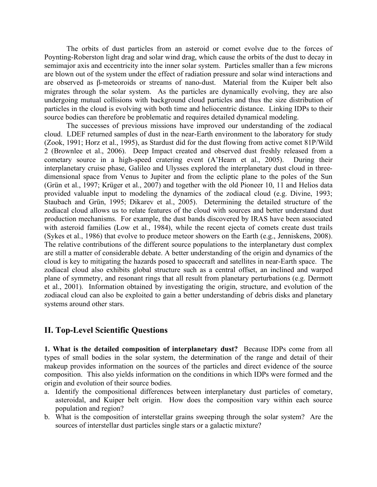The orbits of dust particles from an asteroid or comet evolve due to the forces of Poynting-Roberston light drag and solar wind drag, which cause the orbits of the dust to decay in semimajor axis and eccentricity into the inner solar system. Particles smaller than a few microns are blown out of the system under the effect of radiation pressure and solar wind interactions and are observed as β-meteoroids or streams of nano-dust. Material from the Kuiper belt also migrates through the solar system. As the particles are dynamically evolving, they are also undergoing mutual collisions with background cloud particles and thus the size distribution of particles in the cloud is evolving with both time and heliocentric distance. Linking IDPs to their source bodies can therefore be problematic and requires detailed dynamical modeling.

The successes of previous missions have improved our understanding of the zodiacal cloud. LDEF returned samples of dust in the near-Earth environment to the laboratory for study (Zook, 1991; Horz et al., 1995), as Stardust did for the dust flowing from active comet 81P/Wild 2 (Brownlee et al., 2006). Deep Impact created and observed dust freshly released from a cometary source in a high-speed cratering event (A'Hearn et al., 2005). During their interplanetary cruise phase, Galileo and Ulysses explored the interplanetary dust cloud in threedimensional space from Venus to Jupiter and from the ecliptic plane to the poles of the Sun (Grün et al., 1997; Krüger et al., 2007) and together with the old Pioneer 10, 11 and Helios data provided valuable input to modeling the dynamics of the zodiacal cloud (e.g. Divine, 1993; Staubach and Grün, 1995; Dikarev et al., 2005). Determining the detailed structure of the zodiacal cloud allows us to relate features of the cloud with sources and better understand dust production mechanisms. For example, the dust bands discovered by IRAS have been associated with asteroid families (Low et al., 1984), while the recent ejecta of comets create dust trails (Sykes et al., 1986) that evolve to produce meteor showers on the Earth (e.g., Jenniskens, 2008). The relative contributions of the different source populations to the interplanetary dust complex are still a matter of considerable debate. A better understanding of the origin and dynamics of the cloud is key to mitigating the hazards posed to spacecraft and satellites in near-Earth space. The zodiacal cloud also exhibits global structure such as a central offset, an inclined and warped plane of symmetry, and resonant rings that all result from planetary perturbations (e.g. Dermott et al., 2001). Information obtained by investigating the origin, structure, and evolution of the zodiacal cloud can also be exploited to gain a better understanding of debris disks and planetary systems around other stars.

# **II. Top-Level Scientific Questions**

**1. What is the detailed composition of interplanetary dust?** Because IDPs come from all types of small bodies in the solar system, the determination of the range and detail of their makeup provides information on the sources of the particles and direct evidence of the source composition. This also yields information on the conditions in which IDPs were formed and the origin and evolution of their source bodies.

- a. Identify the compositional differences between interplanetary dust particles of cometary, asteroidal, and Kuiper belt origin. How does the composition vary within each source population and region?
- b. What is the composition of interstellar grains sweeping through the solar system? Are the sources of interstellar dust particles single stars or a galactic mixture?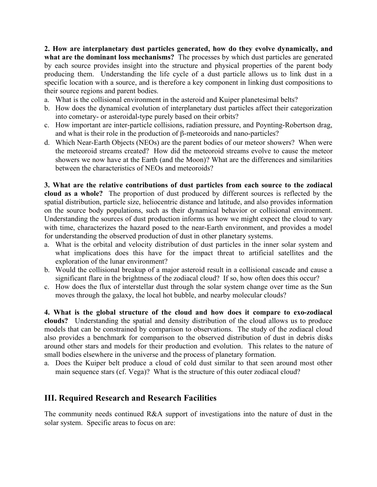**2. How are interplanetary dust particles generated, how do they evolve dynamically, and what are the dominant loss mechanisms?** The processes by which dust particles are generated by each source provides insight into the structure and physical properties of the parent body producing them. Understanding the life cycle of a dust particle allows us to link dust in a specific location with a source, and is therefore a key component in linking dust compositions to their source regions and parent bodies.

- a. What is the collisional environment in the asteroid and Kuiper planetesimal belts?
- b. How does the dynamical evolution of interplanetary dust particles affect their categorization into cometary- or asteroidal-type purely based on their orbits?
- c. How important are inter-particle collisions, radiation pressure, and Poynting-Robertson drag, and what is their role in the production of β-meteoroids and nano-particles?
- d. Which Near-Earth Objects (NEOs) are the parent bodies of our meteor showers? When were the meteoroid streams created? How did the meteoroid streams evolve to cause the meteor showers we now have at the Earth (and the Moon)? What are the differences and similarities between the characteristics of NEOs and meteoroids?

**3. What are the relative contributions of dust particles from each source to the zodiacal cloud as a whole?** The proportion of dust produced by different sources is reflected by the spatial distribution, particle size, heliocentric distance and latitude, and also provides information on the source body populations, such as their dynamical behavior or collisional environment. Understanding the sources of dust production informs us how we might expect the cloud to vary with time, characterizes the hazard posed to the near-Earth environment, and provides a model for understanding the observed production of dust in other planetary systems.

- a. What is the orbital and velocity distribution of dust particles in the inner solar system and what implications does this have for the impact threat to artificial satellites and the exploration of the lunar environment?
- b. Would the collisional breakup of a major asteroid result in a collisional cascade and cause a significant flare in the brightness of the zodiacal cloud? If so, how often does this occur?
- c. How does the flux of interstellar dust through the solar system change over time as the Sun moves through the galaxy, the local hot bubble, and nearby molecular clouds?

**4. What is the global structure of the cloud and how does it compare to exo-zodiacal clouds?** Understanding the spatial and density distribution of the cloud allows us to produce models that can be constrained by comparison to observations. The study of the zodiacal cloud also provides a benchmark for comparison to the observed distribution of dust in debris disks around other stars and models for their production and evolution. This relates to the nature of small bodies elsewhere in the universe and the process of planetary formation.

a. Does the Kuiper belt produce a cloud of cold dust similar to that seen around most other main sequence stars (cf. Vega)? What is the structure of this outer zodiacal cloud?

# **III. Required Research and Research Facilities**

The community needs continued R&A support of investigations into the nature of dust in the solar system. Specific areas to focus on are: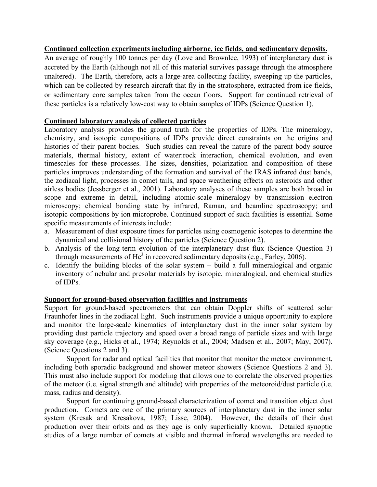## **Continued collection experiments including airborne, ice fields, and sedimentary deposits.**

An average of roughly 100 tonnes per day (Love and Brownlee, 1993) of interplanetary dust is accreted by the Earth (although not all of this material survives passage through the atmosphere unaltered). The Earth, therefore, acts a large-area collecting facility, sweeping up the particles, which can be collected by research aircraft that fly in the stratosphere, extracted from ice fields, or sedimentary core samples taken from the ocean floors. Support for continued retrieval of these particles is a relatively low-cost way to obtain samples of IDPs (Science Question 1).

### **Continued laboratory analysis of collected particles**

Laboratory analysis provides the ground truth for the properties of IDPs. The mineralogy, chemistry, and isotopic compositions of IDPs provide direct constraints on the origins and histories of their parent bodies. Such studies can reveal the nature of the parent body source materials, thermal history, extent of water:rock interaction, chemical evolution, and even timescales for these processes. The sizes, densities, polarization and composition of these particles improves understanding of the formation and survival of the IRAS infrared dust bands, the zodiacal light, processes in comet tails, and space weathering effects on asteroids and other airless bodies (Jessberger et al., 2001). Laboratory analyses of these samples are both broad in scope and extreme in detail, including atomic-scale mineralogy by transmission electron microscopy; chemical bonding state by infrared, Raman, and beamline spectroscopy; and isotopic compositions by ion microprobe. Continued support of such facilities is essential. Some specific measurements of interests include:

- a. Measurement of dust exposure times for particles using cosmogenic isotopes to determine the dynamical and collisional history of the particles (Science Question 2).
- b. Analysis of the long-term evolution of the interplanetary dust flux (Science Question 3) through measurements of  $He<sup>3</sup>$  in recovered sedimentary deposits (e.g., Farley, 2006).
- c. Identify the building blocks of the solar system build a full mineralogical and organic inventory of nebular and presolar materials by isotopic, mineralogical, and chemical studies of IDPs.

#### **Support for ground-based observation facilities and instruments**

Support for ground-based spectrometers that can obtain Doppler shifts of scattered solar Fraunhofer lines in the zodiacal light. Such instruments provide a unique opportunity to explore and monitor the large-scale kinematics of interplanetary dust in the inner solar system by providing dust particle trajectory and speed over a broad range of particle sizes and with large sky coverage (e.g., Hicks et al., 1974; Reynolds et al., 2004; Madsen et al., 2007; May, 2007). (Science Questions 2 and 3).

Support for radar and optical facilities that monitor that monitor the meteor environment, including both sporadic background and shower meteor showers (Science Questions 2 and 3). This must also include support for modeling that allows one to correlate the observed properties of the meteor (i.e. signal strength and altitude) with properties of the meteoroid/dust particle (i.e. mass, radius and density).

Support for continuing ground-based characterization of comet and transition object dust production. Comets are one of the primary sources of interplanetary dust in the inner solar system (Kresak and Kresakova, 1987; Lisse, 2004). However, the details of their dust production over their orbits and as they age is only superficially known. Detailed synoptic studies of a large number of comets at visible and thermal infrared wavelengths are needed to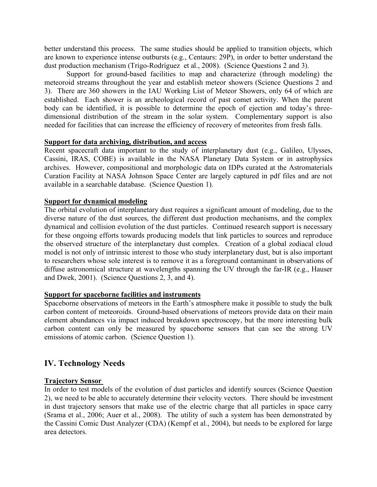better understand this process. The same studies should be applied to transition objects, which are known to experience intense outbursts (e.g., Centaurs: 29P), in order to better understand the dust production mechanism (Trigo-Rodríguez et al., 2008). (Science Questions 2 and 3).

Support for ground-based facilities to map and characterize (through modeling) the meteoroid streams throughout the year and establish meteor showers (Science Questions 2 and 3). There are 360 showers in the IAU Working List of Meteor Showers, only 64 of which are established. Each shower is an archeological record of past comet activity. When the parent body can be identified, it is possible to determine the epoch of ejection and today's threedimensional distribution of the stream in the solar system. Complementary support is also needed for facilities that can increase the efficiency of recovery of meteorites from fresh falls.

#### **Support for data archiving, distribution, and access**

Recent spacecraft data important to the study of interplanetary dust (e.g., Galileo, Ulysses, Cassini, IRAS, COBE) is available in the NASA Planetary Data System or in astrophysics archives. However, compositional and morphologic data on IDPs curated at the Astromaterials Curation Facility at NASA Johnson Space Center are largely captured in pdf files and are not available in a searchable database. (Science Question 1).

### **Support for dynamical modeling**

The orbital evolution of interplanetary dust requires a significant amount of modeling, due to the diverse nature of the dust sources, the different dust production mechanisms, and the complex dynamical and collision evolution of the dust particles. Continued research support is necessary for these ongoing efforts towards producing models that link particles to sources and reproduce the observed structure of the interplanetary dust complex. Creation of a global zodiacal cloud model is not only of intrinsic interest to those who study interplanetary dust, but is also important to researchers whose sole interest is to remove it as a foreground contaminant in observations of diffuse astronomical structure at wavelengths spanning the UV through the far-IR (e.g., Hauser and Dwek, 2001). (Science Questions 2, 3, and 4).

# **Support for spaceborne facilities and instruments**

Spaceborne observations of meteors in the Earth's atmosphere make it possible to study the bulk carbon content of meteoroids. Ground-based observations of meteors provide data on their main element abundances via impact induced breakdown spectroscopy, but the more interesting bulk carbon content can only be measured by spaceborne sensors that can see the strong UV emissions of atomic carbon. (Science Question 1).

# **IV. Technology Needs**

# **Trajectory Sensor**

In order to test models of the evolution of dust particles and identify sources (Science Question 2), we need to be able to accurately determine their velocity vectors. There should be investment in dust trajectory sensors that make use of the electric charge that all particles in space carry (Srama et al., 2006; Auer et al., 2008). The utility of such a system has been demonstrated by the Cassini Comic Dust Analyzer (CDA) (Kempf et al., 2004), but needs to be explored for large area detectors.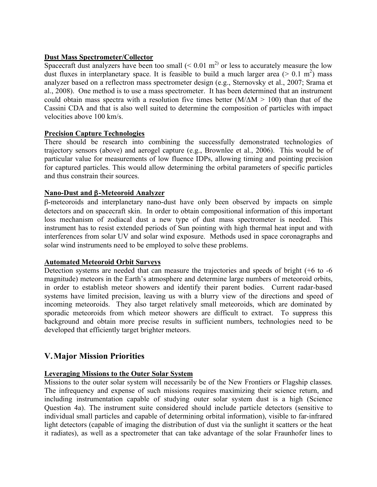## **Dust Mass Spectrometer/Collector**

Spacecraft dust analyzers have been too small  $( $0.01 \text{ m}^2$ )$  or less to accurately measure the low dust fluxes in interplanetary space. It is feasible to build a much larger area ( $> 0.1 \text{ m}^2$ ) mass analyzer based on a reflectron mass spectrometer design (e.g., Sternovsky et al., 2007; Srama et al., 2008). One method is to use a mass spectrometer. It has been determined that an instrument could obtain mass spectra with a resolution five times better  $(M/\Delta M > 100)$  than that of the Cassini CDA and that is also well suited to determine the composition of particles with impact velocities above 100 km/s.

### **Precision Capture Technologies**

There should be research into combining the successfully demonstrated technologies of trajectory sensors (above) and aerogel capture (e.g., Brownlee et al., 2006). This would be of particular value for measurements of low fluence IDPs, allowing timing and pointing precision for captured particles. This would allow determining the orbital parameters of specific particles and thus constrain their sources.

### **Nano-Dust and** β**-Meteoroid Analyzer**

β-meteoroids and interplanetary nano-dust have only been observed by impacts on simple detectors and on spacecraft skin. In order to obtain compositional information of this important loss mechanism of zodiacal dust a new type of dust mass spectrometer is needed. This instrument has to resist extended periods of Sun pointing with high thermal heat input and with interferences from solar UV and solar wind exposure. Methods used in space coronagraphs and solar wind instruments need to be employed to solve these problems.

#### **Automated Meteoroid Orbit Surveys**

Detection systems are needed that can measure the trajectories and speeds of bright (+6 to -6 magnitude) meteors in the Earth's atmosphere and determine large numbers of meteoroid orbits, in order to establish meteor showers and identify their parent bodies. Current radar-based systems have limited precision, leaving us with a blurry view of the directions and speed of incoming meteoroids. They also target relatively small meteoroids, which are dominated by sporadic meteoroids from which meteor showers are difficult to extract. To suppress this background and obtain more precise results in sufficient numbers, technologies need to be developed that efficiently target brighter meteors.

# **V.Major Mission Priorities**

#### **Leveraging Missions to the Outer Solar System**

Missions to the outer solar system will necessarily be of the New Frontiers or Flagship classes. The infrequency and expense of such missions requires maximizing their science return, and including instrumentation capable of studying outer solar system dust is a high (Science Question 4a). The instrument suite considered should include particle detectors (sensitive to individual small particles and capable of determining orbital information), visible to far-infrared light detectors (capable of imaging the distribution of dust via the sunlight it scatters or the heat it radiates), as well as a spectrometer that can take advantage of the solar Fraunhofer lines to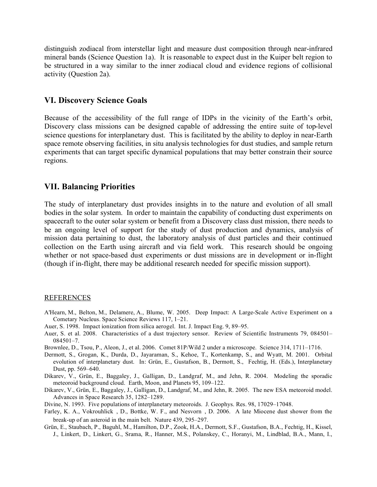distinguish zodiacal from interstellar light and measure dust composition through near-infrared mineral bands (Science Question 1a). It is reasonable to expect dust in the Kuiper belt region to be structured in a way similar to the inner zodiacal cloud and evidence regions of collisional activity (Question 2a).

## **VI. Discovery Science Goals**

Because of the accessibility of the full range of IDPs in the vicinity of the Earth's orbit, Discovery class missions can be designed capable of addressing the entire suite of top-level science questions for interplanetary dust. This is facilitated by the ability to deploy in near-Earth space remote observing facilities, in situ analysis technologies for dust studies, and sample return experiments that can target specific dynamical populations that may better constrain their source regions.

### **VII. Balancing Priorities**

The study of interplanetary dust provides insights in to the nature and evolution of all small bodies in the solar system. In order to maintain the capability of conducting dust experiments on spacecraft to the outer solar system or benefit from a Discovery class dust mission, there needs to be an ongoing level of support for the study of dust production and dynamics, analysis of mission data pertaining to dust, the laboratory analysis of dust particles and their continued collection on the Earth using aircraft and via field work. This research should be ongoing whether or not space-based dust experiments or dust missions are in development or in-flight (though if in-flight, there may be additional research needed for specific mission support).

#### REFERENCES

- A'Hearn, M., Belton, M., Delamere, A., Blume, W. 2005. Deep Impact: A Large-Scale Active Experiment on a Cometary Nucleus. Space Science Reviews 117, 1–21.
- Auer, S. 1998. Impact ionization from silica aerogel. Int. J. Impact Eng. 9, 89–95.
- Auer, S. et al. 2008. Characteristics of a dust trajectory sensor. Review of Scientific Instruments 79, 084501– 084501–7.
- Brownlee, D., Tsou, P., Aleon, J., et al. 2006. Comet 81P/Wild 2 under a microscope. Science 314, 1711–1716.
- Dermott, S., Grogan, K., Durda, D., Jayaraman, S., Kehoe, T., Kortenkamp, S., and Wyatt, M. 2001. Orbital evolution of interplanetary dust. In: Grün, E., Gustafson, B., Dermott, S., Fechtig, H. (Eds.), Interplanetary Dust, pp. 569–640.
- Dikarev, V., Grün, E., Baggaley, J., Galligan, D., Landgraf, M., and Jehn, R. 2004. Modeling the sporadic meteoroid background cloud. Earth, Moon, and Planets 95, 109–122.
- Dikarev, V., Grün, E., Baggaley, J., Galligan, D., Landgraf, M., and Jehn, R. 2005. The new ESA meteoroid model. Advances in Space Research 35, 1282–1289.
- Divine, N. 1993. Five populations of interplanetary meteoroids. J. Geophys. Res. 98, 17029–17048.
- Farley, K. A., Vokrouhlick, D., Bottke, W. F., and Nesvorn, D. 2006. A late Miocene dust shower from the break-up of an asteroid in the main belt. Nature 439, 295–297.
- Grün, E., Staubach, P., Baguhl, M., Hamilton, D.P., Zook, H.A., Dermott, S.F., Gustafson, B.A., Fechtig, H., Kissel, J., Linkert, D., Linkert, G., Srama, R., Hanner, M.S., Polanskey, C., Horanyi, M., Lindblad, B.A., Mann, I.,